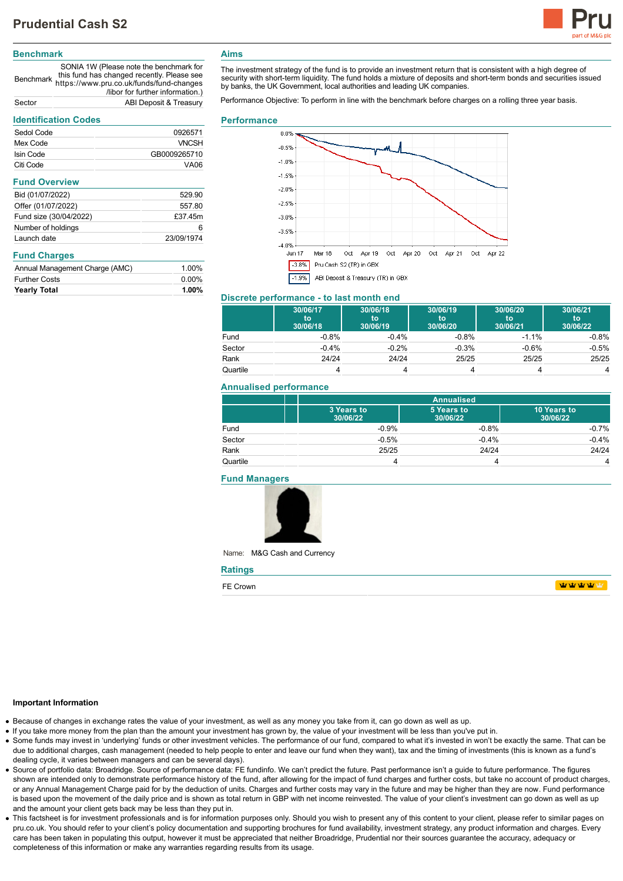

# **Benchmark**

Benchmark https://www.pru.co.uk/funds/fund-changes SONIA 1W (Please note the benchmark for this fund has changed recently. Please see /libor for further information.) Sector ABI Deposit & Treasury

# **Identification Codes**

| identification Codes           |              |  |
|--------------------------------|--------------|--|
| Sedol Code                     | 0926571      |  |
| Mex Code                       | <b>VNCSH</b> |  |
| Isin Code                      | GB0009265710 |  |
| Citi Code                      | VA06         |  |
| <b>Fund Overview</b>           |              |  |
| Bid (01/07/2022)               | 529.90       |  |
| Offer (01/07/2022)             | 557.80       |  |
| Fund size (30/04/2022)         | £37.45m      |  |
| Number of holdings             | 6            |  |
| Launch date                    | 23/09/1974   |  |
| <b>Fund Charges</b>            |              |  |
| Annual Management Charge (AMC) | 1.00%        |  |
| <b>Further Costs</b>           | $0.00\%$     |  |
| <b>Yearly Total</b>            | $1.00\%$     |  |

# **Aims**

The investment strategy of the fund is to provide an investment return that is consistent with a high degree of security with short-term liquidity. The fund holds a mixture of deposits and short-term bonds and securities issued by banks, the UK Government, local authorities and leading UK companies.

Performance Objective: To perform in line with the benchmark before charges on a rolling three year basis.

#### **Performance**



## **Discrete performance - to last month end**

|          | 30/06/17<br>to<br>30/06/18 | 30/06/18<br>to<br>30/06/19 | 30/06/19<br>to<br>30/06/20 | 30/06/20<br>to<br>30/06/21 | 30/06/21<br>to<br>30/06/22 |
|----------|----------------------------|----------------------------|----------------------------|----------------------------|----------------------------|
| Fund     | $-0.8%$                    | $-0.4%$                    | $-0.8%$                    | $-1.1\%$                   | $-0.8%$                    |
| Sector   | $-0.4%$                    | $-0.2%$                    | $-0.3%$                    | $-0.6%$                    | $-0.5%$                    |
| Rank     | 24/24                      | 24/24                      | 25/25                      | 25/25                      | 25/25                      |
| Quartile |                            |                            |                            |                            | 4                          |

#### **Annualised performance**

|          |                        | <b>Annualised</b>      |                         |  |
|----------|------------------------|------------------------|-------------------------|--|
|          | 3 Years to<br>30/06/22 | 5 Years to<br>30/06/22 | 10 Years to<br>30/06/22 |  |
| Fund     | $-0.9%$                | $-0.8%$                | $-0.7%$                 |  |
| Sector   | $-0.5%$                | $-0.4%$                | $-0.4%$                 |  |
| Rank     | 25/25                  | 24/24                  | 24/24                   |  |
| Quartile |                        |                        | 4                       |  |

#### **Fund Managers**



Name: M&G Cash and Currency

| <b>Ratings</b> |      |  |
|----------------|------|--|
| FE Crown       | 中中中中 |  |

#### **Important Information**

- Because of changes in exchange rates the value of your investment, as well as any money you take from it, can go down as well as up.
- If you take more money from the plan than the amount your investment has grown by, the value of your investment will be less than you've put in.
- Some funds may invest in 'underlying' funds or other investment vehicles. The performance of our fund, compared to what it's invested in won't be exactly the same. That can be due to additional charges, cash management (needed to help people to enter and leave our fund when they want), tax and the timing of investments (this is known as a fund's dealing cycle, it varies between managers and can be several days).
- Source of portfolio data: Broadridge. Source of performance data: FE fundinfo. We can't predict the future. Past performance isn't a guide to future performance. The figures shown are intended only to demonstrate performance history of the fund, after allowing for the impact of fund charges and further costs, but take no account of product charges, or any Annual Management Charge paid for by the deduction of units. Charges and further costs may vary in the future and may be higher than they are now. Fund performance is based upon the movement of the daily price and is shown as total return in GBP with net income reinvested. The value of your client's investment can go down as well as up and the amount your client gets back may be less than they put in.
- This factsheet is for investment professionals and is for information purposes only. Should you wish to present any of this content to your client, please refer to similar pages on pru.co.uk. You should refer to your client's policy documentation and supporting brochures for fund availability, investment strategy, any product information and charges. Every care has been taken in populating this output, however it must be appreciated that neither Broadridge. Prudential nor their sources guarantee the accuracy, adequacy or completeness of this information or make any warranties regarding results from its usage.